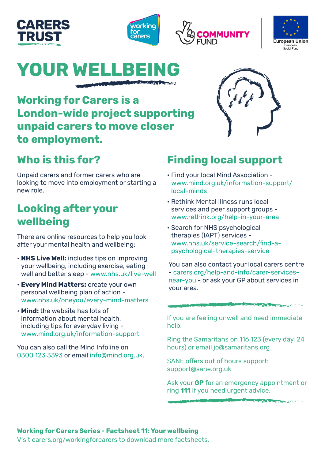







# **YOUR WELLBE**

**Working for Carers is a London-wide project supporting unpaid carers to move closer to employment.** 

# **Who is this for?**

Unpaid carers and former carers who are looking to move into employment or starting a new role.

# **Looking after your wellbeing**

There are online resources to help you look after your mental health and wellbeing:

- **NHS Live Well:** includes tips on improving your wellbeing, including exercise, eating well and better sleep - [www.nhs.uk/live-well](http://www.nhs.uk/live-well)
- **Every Mind Matters:** create your own personal wellbeing plan of action [www.nhs.uk/oneyou/every-mind-matters](http://www.nhs.uk/oneyou/every-mind-matters)
- **Mind:** the website has lots of information about mental health, including tips for everyday living [www.mind.org.uk/information-support](http://www.mind.org.uk/information-support)

You can also call the Mind Infoline on 0300 123 3393 or email [info@mind.org.uk](mailto:info@mind.org.uk).

# **Finding local support**

- Find your local Mind Association [www.mind.org.uk/information-support/](http://www.mind.org.uk/information-support/local-minds) [local-minds](http://www.mind.org.uk/information-support/local-minds)
- Rethink Mental Illness runs local services and peer support groups [www.rethink.org/help-in-your-area](http://www.rethink.org/help-in-your-area)
- Search for NHS psychological therapies (IAPT) services [www.nhs.uk/service-search/find-a](http://www.nhs.uk/service-search/find-a-psychological-therapies-service)[psychological-therapies-service](http://www.nhs.uk/service-search/find-a-psychological-therapies-service)

You can also contact your local carers centre - [carers.org/help-and-info/carer-services](http://carers.org/help-and-info/carer-services-near-you)[near-you](http://carers.org/help-and-info/carer-services-near-you) - or ask your GP about services in your area.

**MARKET BREADTH** 

**Property of the Community of the Community of the Community of the Community of the Community of the Community** 

If you are feeling unwell and need immediate help:

Ring the Samaritans on 116 123 (every day, 24 hours) or email [jo@samaritans.org](mailto:jo@samaritans.org)

SANE offers out of hours support: [support@sane.org.uk](mailto:support%40sane.org.uk?subject=)

Ask your **GP** for an emergency appointment or ring **111** if you need urgent advice.

#### **Working for Carers Series - Factsheet 11: Your wellbeing**

Visit carers.org/workingforcarers to download more factsheets.